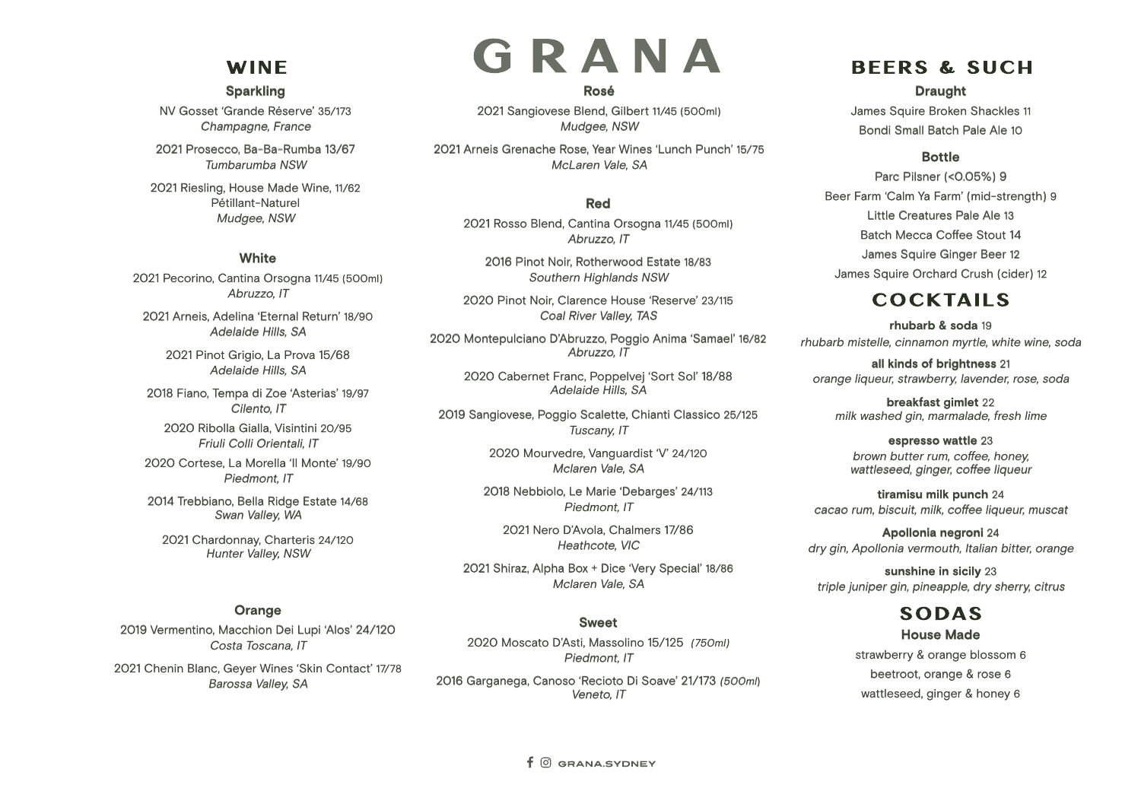# **WINE**

#### **Sparkling**

NV Gosset 'Grande Réserve' 35/173 Champagne, France

2021 Prosecco, Ba-Ba-Rumba 13/67 Tumbarumba NSW

2021 Riesling, House Made Wine, 11/62 Pétillant-Naturel Mudgee, NSW

#### **White**

2021 Pecorino, Cantina Orsogna 11/45 (500ml) Abruzzo, IT

2021 Arneis, Adelina 'Eternal Return' 18/90 Adelaide Hills, SA

2021 Pinot Grigio, La Prova 15/68 Adelaide Hills, SA

2018 Fiano, Tempa di Zoe 'Asterias' 19/97 Cilento, IT

2020 Ribolla Gialla, Visintini 20/95 Friuli Colli Orientali, IT

2020 Cortese, La Morella 'Il Monte' 19/90 Piedmont, IT

2014 Trebbiano, Bella Ridge Estate 14/68 Swan Valley, WA

2021 Chardonnay, Charteris 24/120 Hunter Valley, NSW

#### **Orange**

2019 Vermentino, Macchion Dei Lupi 'Alos' 24/120 Costa Toscana, IT

2021 Chenin Blanc, Geyer Wines 'Skin Contact' 17/78 Barossa Valley, SA

# GRANA **Rosé**

2021 Sangiovese Blend, Gilbert 11/45 (500ml) Mudgee, NSW

2021 Arneis Grenache Rose, Year Wines 'Lunch Punch' 15/75 McLaren Vale, SA

#### **Red**

2021 Rosso Blend, Cantina Orsogna 11/45 (500ml) Abruzzo, IT

2016 Pinot Noir, Rotherwood Estate 18/83 Southern Highlands NSW

2020 Pinot Noir, Clarence House 'Reserve' 23/115 Coal River Valley, TAS

2020 Montepulciano D'Abruzzo, Poggio Anima 'Samael' 16/82 Abruzzo, IT

2020 Cabernet Franc, Poppelvej 'Sort Sol' 18/88 Adelaide Hills, SA

2019 Sangiovese, Poggio Scalette, Chianti Classico 25/125 Tuscany, IT

> 2020 Mourvedre, Vanguardist 'V' 24/120 Mclaren Vale, SA

2018 Nebbiolo, Le Marie 'Debarges' 24/113 Piedmont, IT

2021 Nero D'Avola, Chalmers 17/86 Heathcote, VIC

2021 Shiraz, Alpha Box + Dice 'Very Special' 18/86 Mclaren Vale, SA

#### **Sweet**

2020 Moscato D'Asti, Massolino 15/125 (750ml) Piedmont, IT 2016 Garganega, Canoso 'Recioto Di Soave' 21/173 (500ml)

Veneto, IT

## **BEERS & SUCH**

**Draught**

James Squire Broken Shackles 11 Bondi Small Batch Pale Ale 10

#### **Bottle**

Parc Pilsner (<0.05%) 9 Beer Farm 'Calm Ya Farm' (mid-strength) 9 Little Creatures Pale Ale 13 Batch Mecca Coffee Stout 14 James Squire Ginger Beer 12 James Squire Orchard Crush (cider) 12

## **COCKTAILS**

**rhubarb & soda** 19 rhubarb mistelle, cinnamon myrtle, white wine, soda

**all kinds of brightness** 21 orange liqueur, strawberry, lavender, rose, soda

**breakfast gimlet** 22 milk washed gin, marmalade, fresh lime

**espresso wattle** 23 brown butter rum, coffee, honey, wattleseed, ginger, coffee liqueur

**tiramisu milk punch** 24 cacao rum, biscuit, milk, coffee liqueur, muscat

**Apollonia negroni** 24 dry gin, Apollonia vermouth, Italian bitter, orange

**sunshine in sicily** 23 triple juniper gin, pineapple, dry sherry, citrus

# **SODAS**

**House Made** strawberry & orange blossom 6 beetroot, orange & rose 6 wattleseed, ginger & honey 6

 $f$   $\odot$  GRANA.SYDNEY